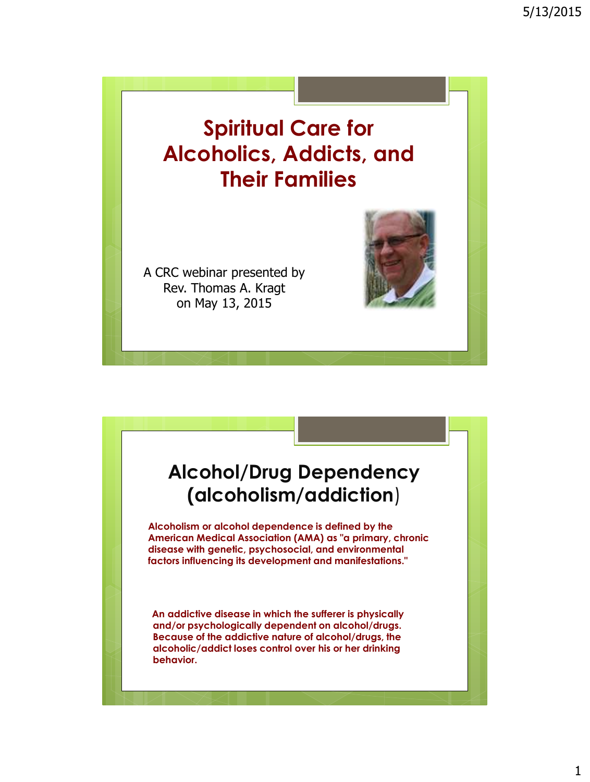## **Spiritual Care for Alcoholics, Addicts, and Their Families**

A CRC webinar presented by Rev. Thomas A. Kragt on May 13, 2015

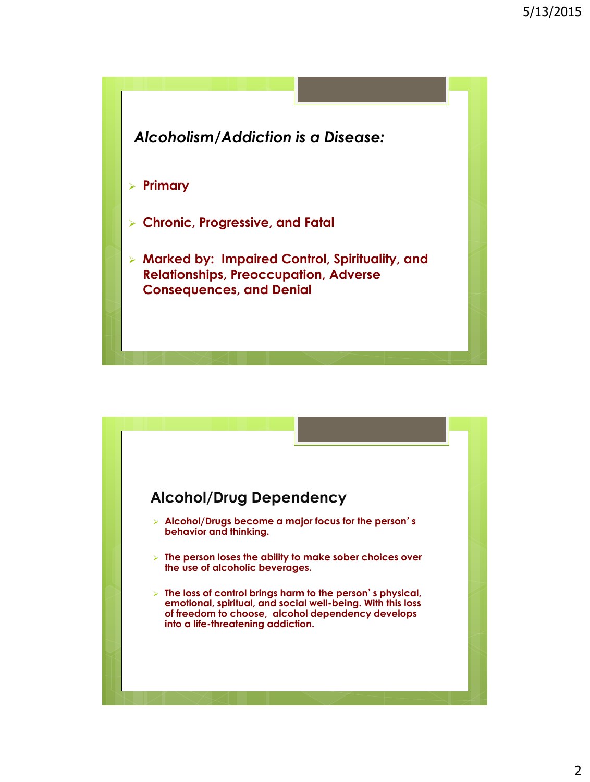

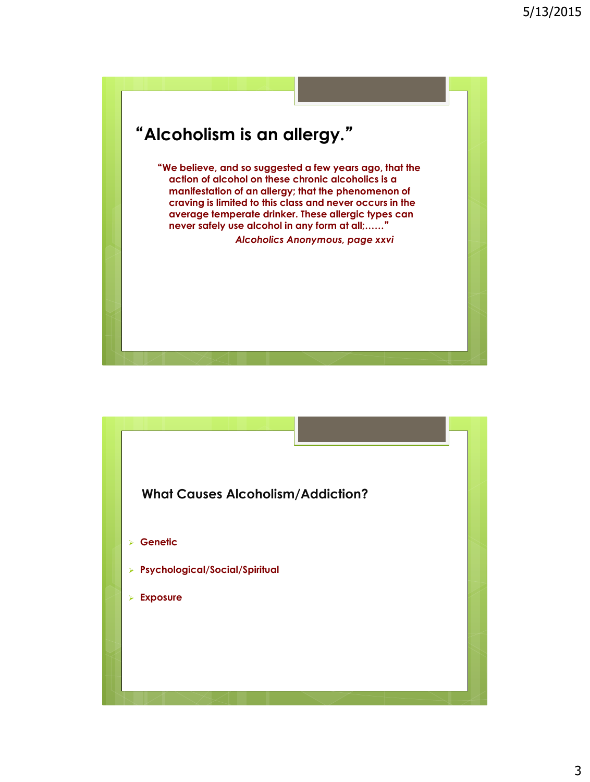

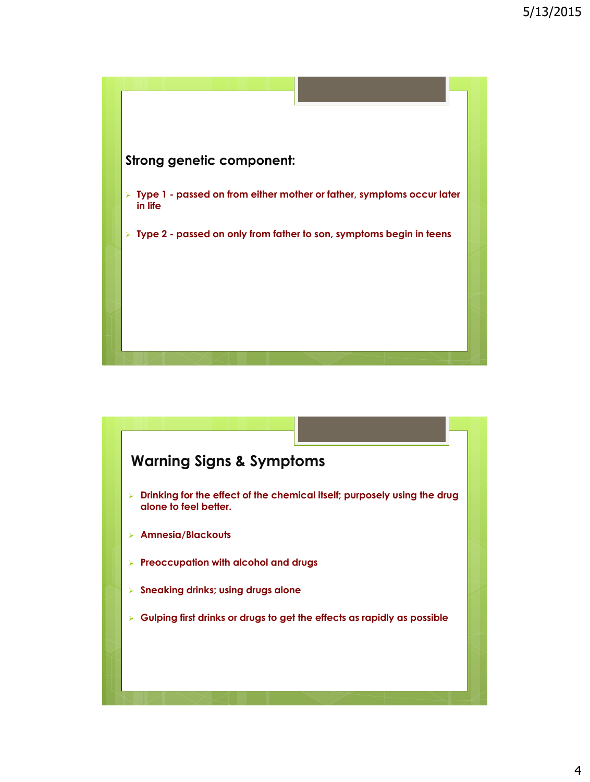

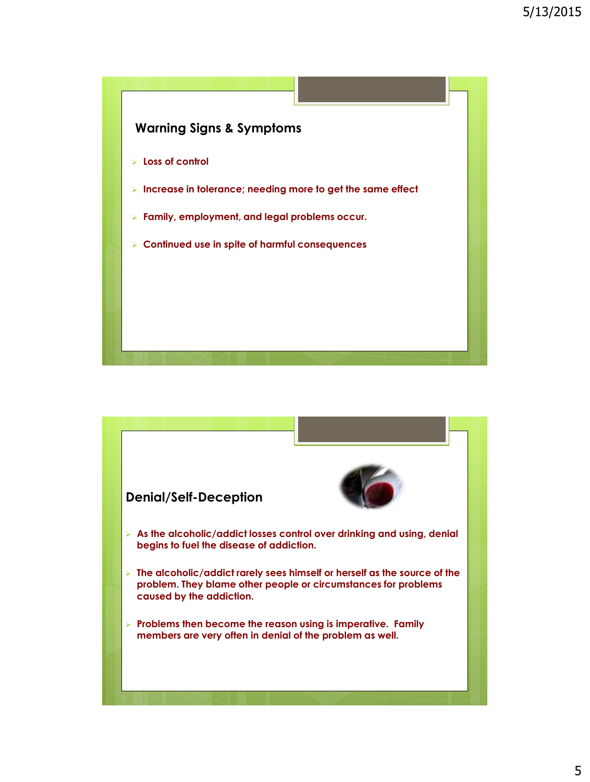

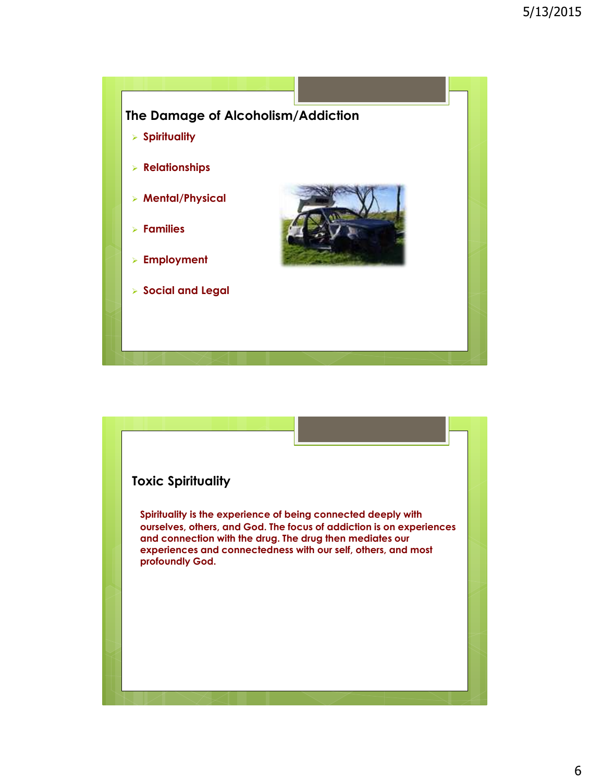

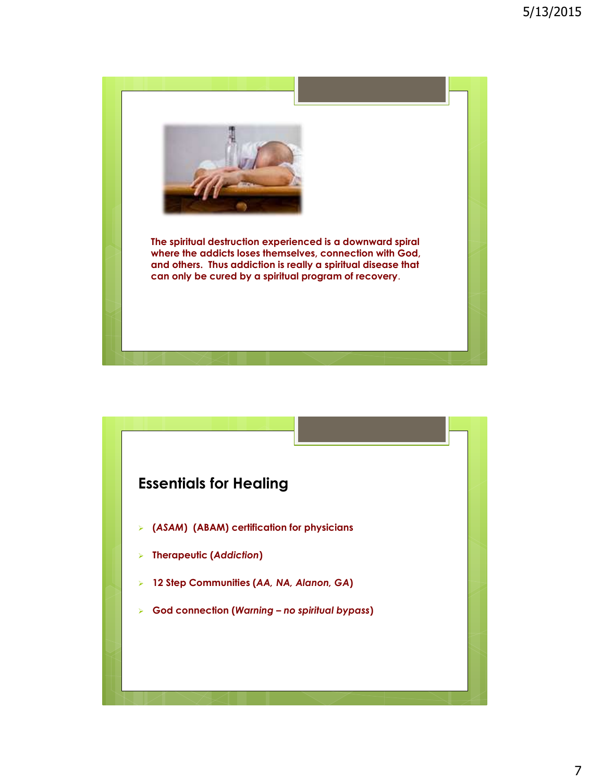

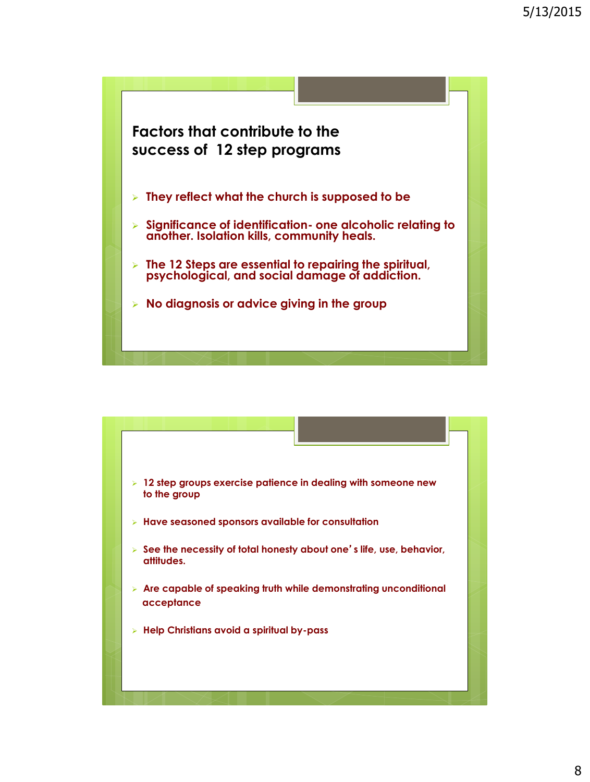

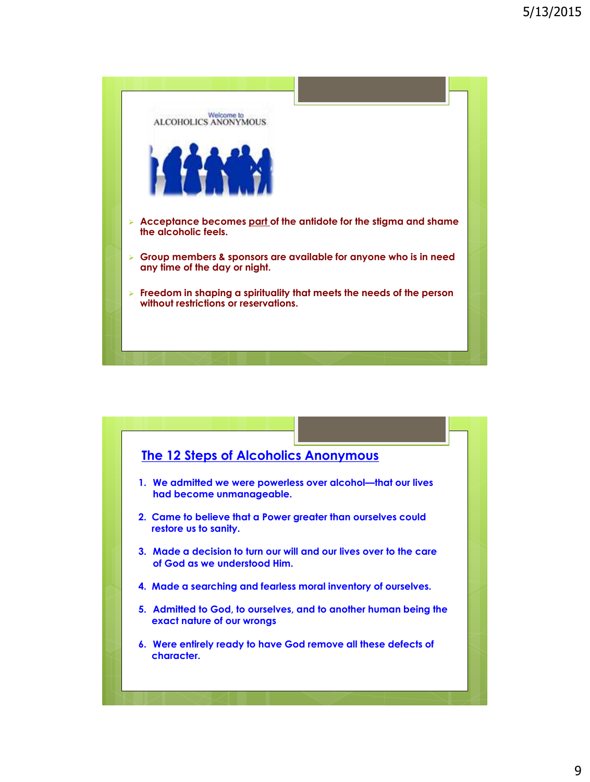

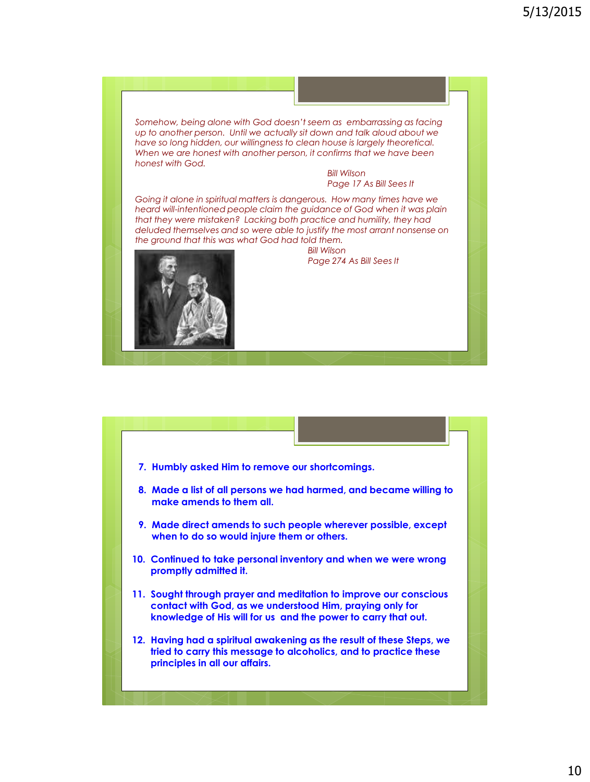*Somehow, being alone with God doesn't seem as embarrassing as facing up to another person. Until we actually sit down and talk aloud about we have so long hidden, our willingness to clean house is largely theoretical. When we are honest with another person, it confirms that we have been honest with God.*

> *Bill Wilson Page 17 As Bill Sees It*

*Going it alone in spiritual matters is dangerous. How many times have we heard will-intentioned people claim the guidance of God when it was plain that they were mistaken? Lacking both practice and humility, they had deluded themselves and so were able to justify the most arrant nonsense on the ground that this was what God had told them.*



 *Bill Wilson Page 274 As Bill Sees It*

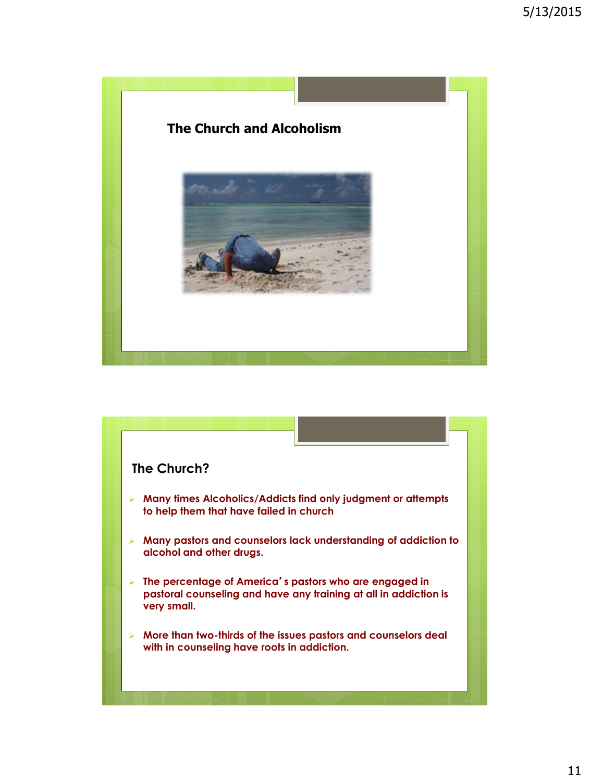

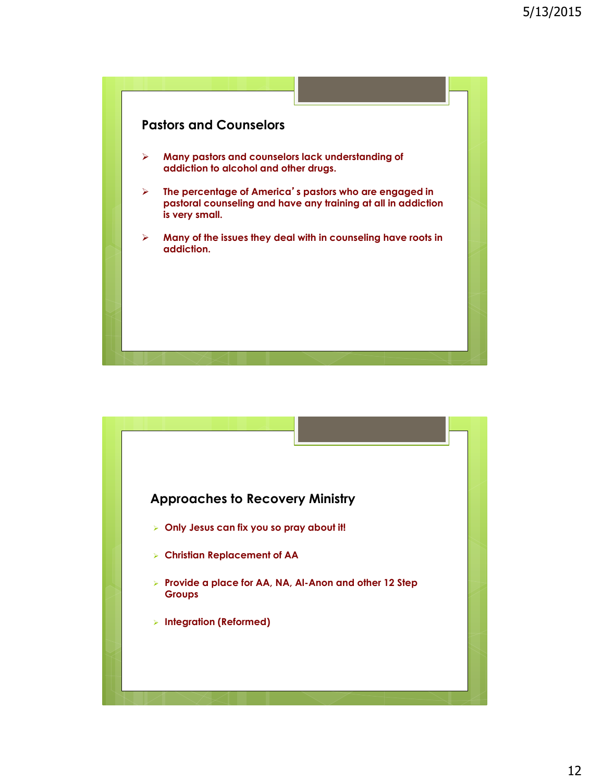

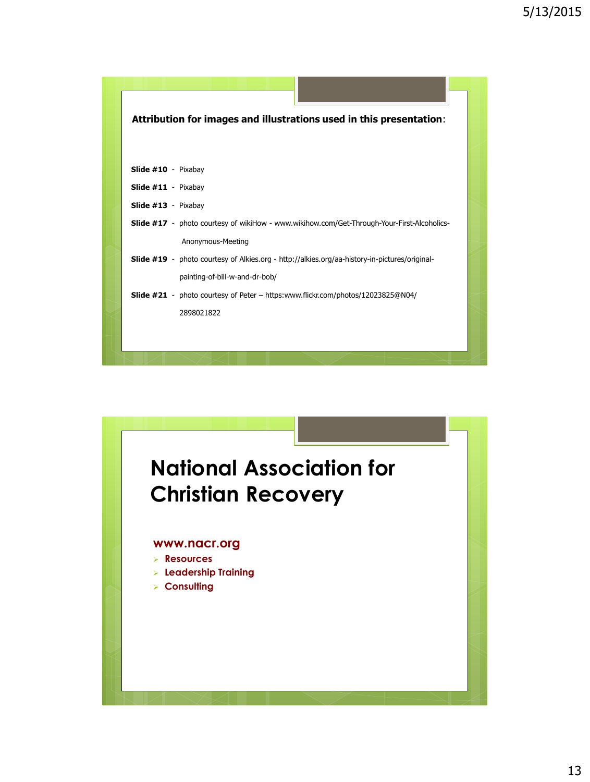| Attribution for images and illustrations used in this presentation:                                  |  |
|------------------------------------------------------------------------------------------------------|--|
|                                                                                                      |  |
|                                                                                                      |  |
| Slide #10 - Pixabay                                                                                  |  |
| <b>Slide #11</b> - Pixabay                                                                           |  |
| Slide #13 - Pixabay                                                                                  |  |
| <b>Slide #17</b> - photo courtesy of wikiHow - www.wikihow.com/Get-Through-Your-First-Alcoholics-    |  |
| Anonymous-Meeting                                                                                    |  |
| <b>Slide #19</b> - photo courtesy of Alkies.org - http://alkies.org/aa-history-in-pictures/original- |  |
| painting-of-bill-w-and-dr-bob/                                                                       |  |
| <b>Slide #21</b> - photo courtesy of Peter – https:www.flickr.com/photos/12023825@N04/               |  |
| 2898021822                                                                                           |  |
|                                                                                                      |  |
|                                                                                                      |  |